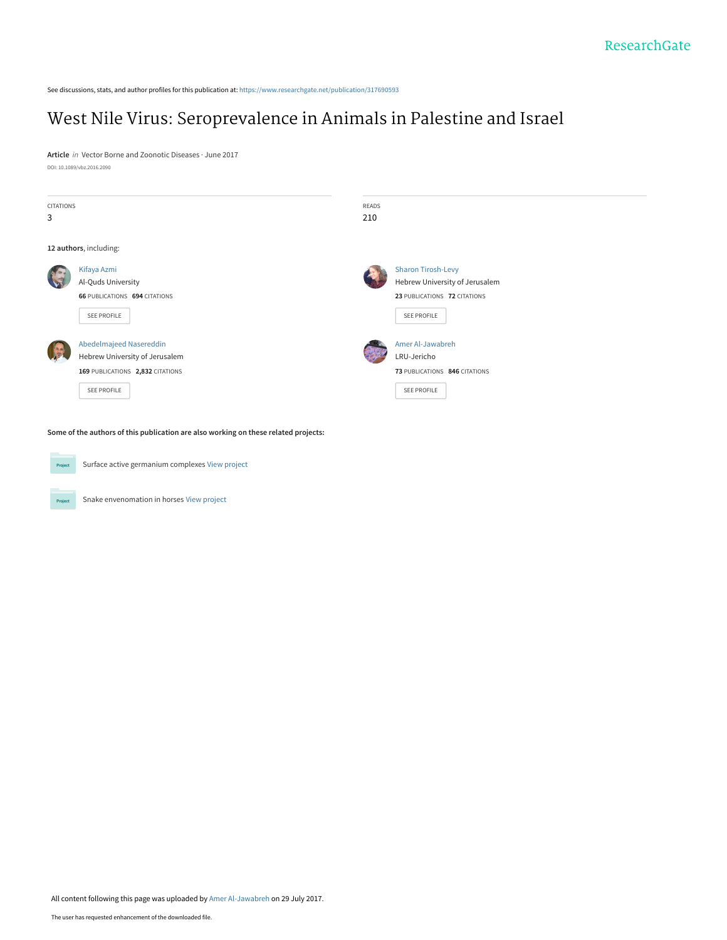See discussions, stats, and author profiles for this publication at: [https://www.researchgate.net/publication/317690593](https://www.researchgate.net/publication/317690593_West_Nile_Virus_Seroprevalence_in_Animals_in_Palestine_and_Israel?enrichId=rgreq-64dd2a59afbfb14fc17c9073a994b6ca-XXX&enrichSource=Y292ZXJQYWdlOzMxNzY5MDU5MztBUzo1MjEzNjQ5MTA5NTI0NDhAMTUwMTMxNDQ4OTMwNw%3D%3D&el=1_x_2&_esc=publicationCoverPdf)

# [West Nile Virus: Seroprevalence in Animals in Palestine and Israel](https://www.researchgate.net/publication/317690593_West_Nile_Virus_Seroprevalence_in_Animals_in_Palestine_and_Israel?enrichId=rgreq-64dd2a59afbfb14fc17c9073a994b6ca-XXX&enrichSource=Y292ZXJQYWdlOzMxNzY5MDU5MztBUzo1MjEzNjQ5MTA5NTI0NDhAMTUwMTMxNDQ4OTMwNw%3D%3D&el=1_x_3&_esc=publicationCoverPdf)

**Article** in Vector Borne and Zoonotic Diseases · June 2017 DOI: 10.1089/vbz.2016.2090

| CITATIONS<br>3 |                                                                                                              | READS<br>210 |                                                                                                            |
|----------------|--------------------------------------------------------------------------------------------------------------|--------------|------------------------------------------------------------------------------------------------------------|
|                | 12 authors, including:                                                                                       |              |                                                                                                            |
|                | Kifaya Azmi<br>Al-Quds University<br><b>66 PUBLICATIONS 694 CITATIONS</b><br>SEE PROFILE                     |              | <b>Sharon Tirosh-Levy</b><br>Hebrew University of Jerusalem<br>23 PUBLICATIONS 72 CITATIONS<br>SEE PROFILE |
|                | Abedelmajeed Nasereddin<br>Hebrew University of Jerusalem<br>169 PUBLICATIONS 2,832 CITATIONS<br>SEE PROFILE |              | Amer Al-Jawabreh<br>LRU-Jericho<br>73 PUBLICATIONS 846 CITATIONS<br><b>SEE PROFILE</b>                     |

**Some of the authors of this publication are also working on these related projects:**



Project

Surface active germanium complexes [View project](https://www.researchgate.net/project/Surface-active-germanium-complexes?enrichId=rgreq-64dd2a59afbfb14fc17c9073a994b6ca-XXX&enrichSource=Y292ZXJQYWdlOzMxNzY5MDU5MztBUzo1MjEzNjQ5MTA5NTI0NDhAMTUwMTMxNDQ4OTMwNw%3D%3D&el=1_x_9&_esc=publicationCoverPdf)

Snake envenomation in horses [View project](https://www.researchgate.net/project/Snake-envenomation-in-horses?enrichId=rgreq-64dd2a59afbfb14fc17c9073a994b6ca-XXX&enrichSource=Y292ZXJQYWdlOzMxNzY5MDU5MztBUzo1MjEzNjQ5MTA5NTI0NDhAMTUwMTMxNDQ4OTMwNw%3D%3D&el=1_x_9&_esc=publicationCoverPdf)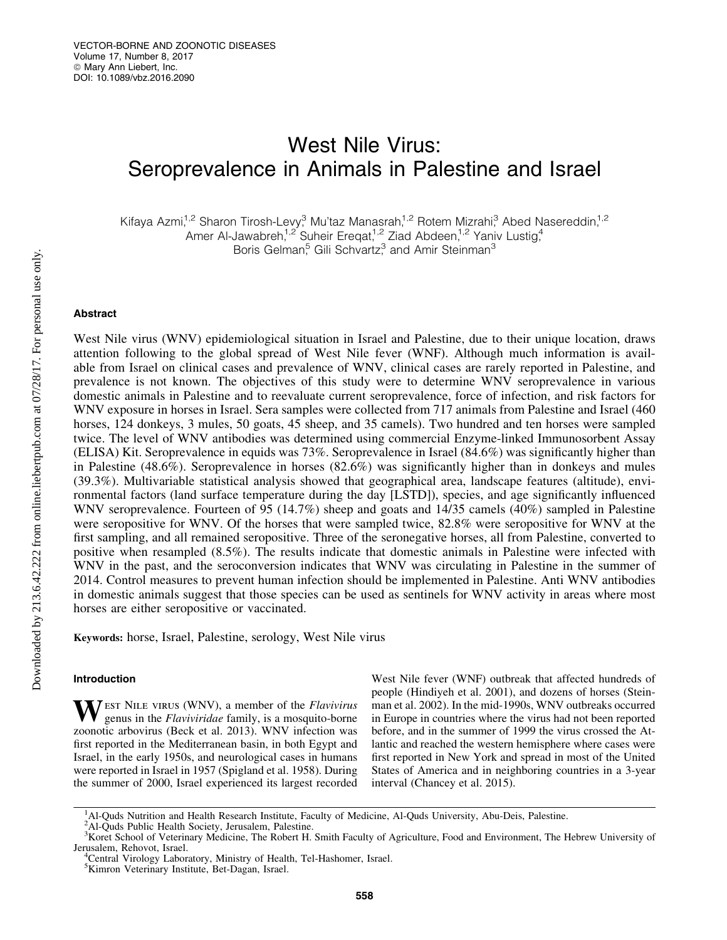# West Nile Virus: Seroprevalence in Animals in Palestine and Israel

Kifaya Azmi,<sup>1,2</sup> Sharon Tirosh-Levy,<sup>3</sup> Mu'taz Manasrah,<sup>1,2</sup> Rotem Mizrahi,<sup>3</sup> Abed Nasereddin,<sup>1,2</sup> Amer Al-Jawabreh,<sup>1,2</sup> Suheir Ereqat,<sup>1,2</sup> Ziad Abdeen,<sup>1,2</sup> Yaniv Lustig,<sup>4</sup> Boris Gelman<sup>5</sup> Gili Schvartz<sup>3</sup> and Amir Steinman<sup>3</sup>

## Abstract

Downloaded by 213.6.42.222 from online.liebertpub.com at 07/28/17. For personal use only.Downloaded by 213.6.42.222 from online.liebertpub.com at 07/28/17. For personal use only

West Nile virus (WNV) epidemiological situation in Israel and Palestine, due to their unique location, draws attention following to the global spread of West Nile fever (WNF). Although much information is available from Israel on clinical cases and prevalence of WNV, clinical cases are rarely reported in Palestine, and prevalence is not known. The objectives of this study were to determine WNV seroprevalence in various domestic animals in Palestine and to reevaluate current seroprevalence, force of infection, and risk factors for WNV exposure in horses in Israel. Sera samples were collected from 717 animals from Palestine and Israel (460 horses, 124 donkeys, 3 mules, 50 goats, 45 sheep, and 35 camels). Two hundred and ten horses were sampled twice. The level of WNV antibodies was determined using commercial Enzyme-linked Immunosorbent Assay (ELISA) Kit. Seroprevalence in equids was 73%. Seroprevalence in Israel (84.6%) was significantly higher than in Palestine (48.6%). Seroprevalence in horses (82.6%) was significantly higher than in donkeys and mules (39.3%). Multivariable statistical analysis showed that geographical area, landscape features (altitude), environmental factors (land surface temperature during the day [LSTD]), species, and age significantly influenced WNV seroprevalence. Fourteen of 95 (14.7%) sheep and goats and 14/35 camels (40%) sampled in Palestine were seropositive for WNV. Of the horses that were sampled twice, 82.8% were seropositive for WNV at the first sampling, and all remained seropositive. Three of the seronegative horses, all from Palestine, converted to positive when resampled (8.5%). The results indicate that domestic animals in Palestine were infected with WNV in the past, and the seroconversion indicates that WNV was circulating in Palestine in the summer of 2014. Control measures to prevent human infection should be implemented in Palestine. Anti WNV antibodies in domestic animals suggest that those species can be used as sentinels for WNV activity in areas where most horses are either seropositive or vaccinated.

Keywords: horse, Israel, Palestine, serology, West Nile virus

# Introduction

West Nile virus (WNV), a member of the *Flavivirus* genus in the *Flaviviridae* family, is a mosquito-borne zoonotic arbovirus (Beck et al. 2013). WNV infection was first reported in the Mediterranean basin, in both Egypt and Israel, in the early 1950s, and neurological cases in humans were reported in Israel in 1957 (Spigland et al. 1958). During the summer of 2000, Israel experienced its largest recorded

West Nile fever (WNF) outbreak that affected hundreds of people (Hindiyeh et al. 2001), and dozens of horses (Steinman et al. 2002). In the mid-1990s, WNV outbreaks occurred in Europe in countries where the virus had not been reported before, and in the summer of 1999 the virus crossed the Atlantic and reached the western hemisphere where cases were first reported in New York and spread in most of the United States of America and in neighboring countries in a 3-year interval (Chancey et al. 2015).

2 Al-Quds Public Health Society, Jerusalem, Palestine.

<sup>&</sup>lt;sup>1</sup><sub>4</sub>Al-Quds Nutrition and Health Research Institute, Faculty of Medicine, Al-Quds University, Abu-Deis, Palestine.

<sup>&</sup>lt;sup>3</sup>Koret School of Veterinary Medicine, The Robert H. Smith Faculty of Agriculture, Food and Environment, The Hebrew University of Jerusalem, Rehovot, Israel. <sup>4</sup>

Central Virology Laboratory, Ministry of Health, Tel-Hashomer, Israel.

<sup>&</sup>lt;sup>5</sup>Kimron Veterinary Institute, Bet-Dagan, Israel.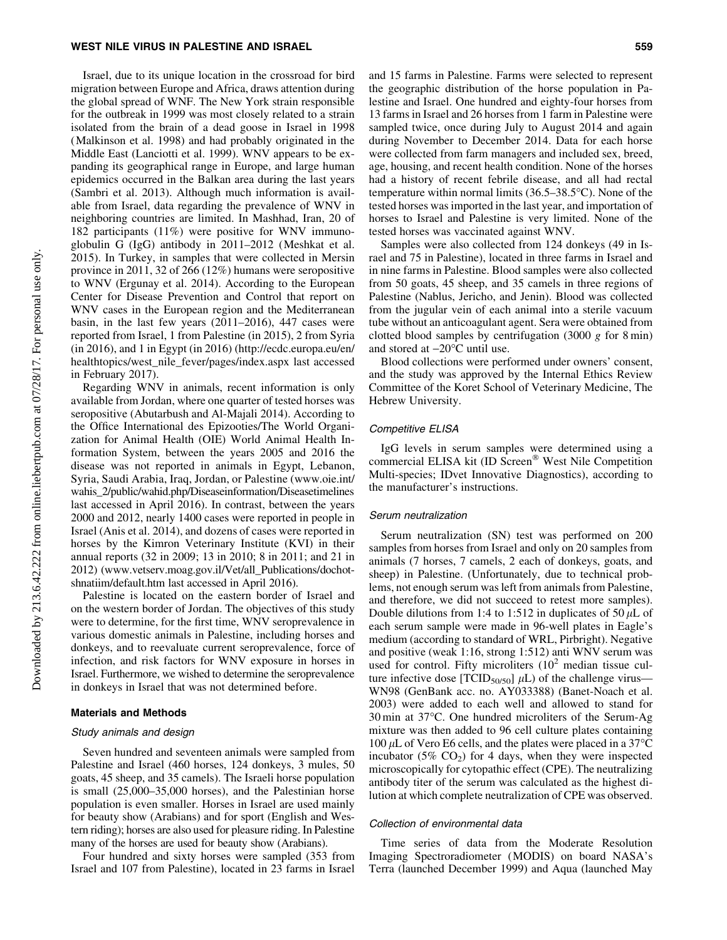#### WEST NILE VIRUS IN PALESTINE AND ISRAEL 559

Israel, due to its unique location in the crossroad for bird migration between Europe and Africa, draws attention during the global spread of WNF. The New York strain responsible for the outbreak in 1999 was most closely related to a strain isolated from the brain of a dead goose in Israel in 1998 (Malkinson et al. 1998) and had probably originated in the Middle East (Lanciotti et al. 1999). WNV appears to be expanding its geographical range in Europe, and large human epidemics occurred in the Balkan area during the last years (Sambri et al. 2013). Although much information is available from Israel, data regarding the prevalence of WNV in neighboring countries are limited. In Mashhad, Iran, 20 of 182 participants (11%) were positive for WNV immunoglobulin G (IgG) antibody in 2011–2012 (Meshkat et al. 2015). In Turkey, in samples that were collected in Mersin province in 2011, 32 of 266 (12%) humans were seropositive to WNV (Ergunay et al. 2014). According to the European Center for Disease Prevention and Control that report on WNV cases in the European region and the Mediterranean basin, in the last few years (2011–2016), 447 cases were reported from Israel, 1 from Palestine (in 2015), 2 from Syria (in 2016), and 1 in Egypt (in 2016) (http://ecdc.europa.eu/en/ healthtopics/west\_nile\_fever/pages/index.aspx last accessed in February 2017).

Regarding WNV in animals, recent information is only available from Jordan, where one quarter of tested horses was seropositive (Abutarbush and Al-Majali 2014). According to the Office International des Epizooties/The World Organization for Animal Health (OIE) World Animal Health Information System, between the years 2005 and 2016 the disease was not reported in animals in Egypt, Lebanon, Syria, Saudi Arabia, Iraq, Jordan, or Palestine (www.oie.int/ wahis\_2/public/wahid.php/Diseaseinformation/Diseasetimelines last accessed in April 2016). In contrast, between the years 2000 and 2012, nearly 1400 cases were reported in people in Israel (Anis et al. 2014), and dozens of cases were reported in horses by the Kimron Veterinary Institute (KVI) in their annual reports (32 in 2009; 13 in 2010; 8 in 2011; and 21 in 2012) (www.vetserv.moag.gov.il/Vet/all\_Publications/dochotshnatiim/default.htm last accessed in April 2016).

Palestine is located on the eastern border of Israel and on the western border of Jordan. The objectives of this study were to determine, for the first time, WNV seroprevalence in various domestic animals in Palestine, including horses and donkeys, and to reevaluate current seroprevalence, force of infection, and risk factors for WNV exposure in horses in Israel. Furthermore, we wished to determine the seroprevalence in donkeys in Israel that was not determined before.

## Materials and Methods

#### Study animals and design

Seven hundred and seventeen animals were sampled from Palestine and Israel (460 horses, 124 donkeys, 3 mules, 50 goats, 45 sheep, and 35 camels). The Israeli horse population is small (25,000–35,000 horses), and the Palestinian horse population is even smaller. Horses in Israel are used mainly for beauty show (Arabians) and for sport (English and Western riding); horses are also used for pleasure riding. In Palestine many of the horses are used for beauty show (Arabians).

Four hundred and sixty horses were sampled (353 from Israel and 107 from Palestine), located in 23 farms in Israel and 15 farms in Palestine. Farms were selected to represent the geographic distribution of the horse population in Palestine and Israel. One hundred and eighty-four horses from 13 farms in Israel and 26 horses from 1 farm in Palestine were sampled twice, once during July to August 2014 and again during November to December 2014. Data for each horse were collected from farm managers and included sex, breed, age, housing, and recent health condition. None of the horses had a history of recent febrile disease, and all had rectal temperature within normal limits (36.5–38.5°C). None of the tested horses was imported in the last year, and importation of horses to Israel and Palestine is very limited. None of the tested horses was vaccinated against WNV.

Samples were also collected from 124 donkeys (49 in Israel and 75 in Palestine), located in three farms in Israel and in nine farms in Palestine. Blood samples were also collected from 50 goats, 45 sheep, and 35 camels in three regions of Palestine (Nablus, Jericho, and Jenin). Blood was collected from the jugular vein of each animal into a sterile vacuum tube without an anticoagulant agent. Sera were obtained from clotted blood samples by centrifugation (3000 *g* for 8 min) and stored at  $-20^{\circ}$ C until use.

Blood collections were performed under owners' consent, and the study was approved by the Internal Ethics Review Committee of the Koret School of Veterinary Medicine, The Hebrew University.

# Competitive ELISA

IgG levels in serum samples were determined using a commercial ELISA kit (ID Screen<sup>®</sup> West Nile Competition Multi-species; IDvet Innovative Diagnostics), according to the manufacturer's instructions.

#### Serum neutralization

Serum neutralization (SN) test was performed on 200 samples from horses from Israel and only on 20 samples from animals (7 horses, 7 camels, 2 each of donkeys, goats, and sheep) in Palestine. (Unfortunately, due to technical problems, not enough serum was left from animals from Palestine, and therefore, we did not succeed to retest more samples). Double dilutions from 1:4 to 1:512 in duplicates of 50  $\mu$ L of each serum sample were made in 96-well plates in Eagle's medium (according to standard of WRL, Pirbright). Negative and positive (weak 1:16, strong 1:512) anti WNV serum was used for control. Fifty microliters  $(10^2 \text{ median tissue cul-}$ ture infective dose [TCID<sub>50/50</sub>]  $\mu$ L) of the challenge virus— WN98 (GenBank acc. no. AY033388) (Banet-Noach et al. 2003) were added to each well and allowed to stand for 30 min at 37-C. One hundred microliters of the Serum-Ag mixture was then added to 96 cell culture plates containing  $100 \mu L$  of Vero E6 cells, and the plates were placed in a 37 $\rm ^{\circ}C$ incubator (5%  $CO<sub>2</sub>$ ) for 4 days, when they were inspected microscopically for cytopathic effect (CPE). The neutralizing antibody titer of the serum was calculated as the highest dilution at which complete neutralization of CPE was observed.

#### Collection of environmental data

Time series of data from the Moderate Resolution Imaging Spectroradiometer (MODIS) on board NASA's Terra (launched December 1999) and Aqua (launched May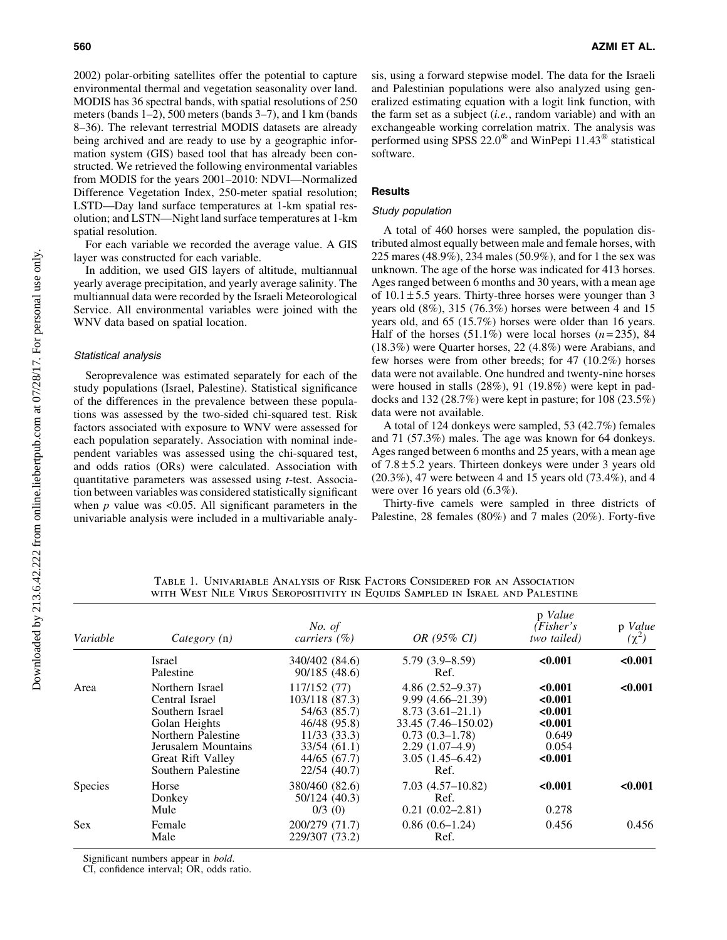2002) polar-orbiting satellites offer the potential to capture environmental thermal and vegetation seasonality over land. MODIS has 36 spectral bands, with spatial resolutions of 250 meters (bands 1–2), 500 meters (bands 3–7), and 1 km (bands 8–36). The relevant terrestrial MODIS datasets are already being archived and are ready to use by a geographic information system (GIS) based tool that has already been constructed. We retrieved the following environmental variables from MODIS for the years 2001–2010: NDVI—Normalized Difference Vegetation Index, 250-meter spatial resolution; LSTD—Day land surface temperatures at 1-km spatial resolution; and LSTN—Night land surface temperatures at 1-km spatial resolution.

For each variable we recorded the average value. A GIS layer was constructed for each variable.

In addition, we used GIS layers of altitude, multiannual yearly average precipitation, and yearly average salinity. The multiannual data were recorded by the Israeli Meteorological Service. All environmental variables were joined with the WNV data based on spatial location.

#### Statistical analysis

Seroprevalence was estimated separately for each of the study populations (Israel, Palestine). Statistical significance of the differences in the prevalence between these populations was assessed by the two-sided chi-squared test. Risk factors associated with exposure to WNV were assessed for each population separately. Association with nominal independent variables was assessed using the chi-squared test, and odds ratios (ORs) were calculated. Association with quantitative parameters was assessed using *t*-test. Association between variables was considered statistically significant when  $p$  value was  $\langle 0.05, \text{ All significant parameters in the} \rangle$ univariable analysis were included in a multivariable analysis, using a forward stepwise model. The data for the Israeli and Palestinian populations were also analyzed using generalized estimating equation with a logit link function, with the farm set as a subject (*i.e.*, random variable) and with an exchangeable working correlation matrix. The analysis was performed using SPSS 22.0 $^{\circ\circ}$  and WinPepi 11.43 $^{\circ\circ}$  statistical software.

## **Results**

#### Study population

A total of 460 horses were sampled, the population distributed almost equally between male and female horses, with 225 mares (48.9%), 234 males (50.9%), and for 1 the sex was unknown. The age of the horse was indicated for 413 horses. Ages ranged between 6 months and 30 years, with a mean age of  $10.1 \pm 5.5$  years. Thirty-three horses were younger than 3 years old (8%), 315 (76.3%) horses were between 4 and 15 years old, and 65 (15.7%) horses were older than 16 years. Half of the horses  $(51.1\%)$  were local horses  $(n=235)$ , 84 (18.3%) were Quarter horses, 22 (4.8%) were Arabians, and few horses were from other breeds; for 47 (10.2%) horses data were not available. One hundred and twenty-nine horses were housed in stalls (28%), 91 (19.8%) were kept in paddocks and 132 (28.7%) were kept in pasture; for 108 (23.5%) data were not available.

A total of 124 donkeys were sampled, 53 (42.7%) females and 71 (57.3%) males. The age was known for 64 donkeys. Ages ranged between 6 months and 25 years, with a mean age of  $7.8 \pm 5.2$  years. Thirteen donkeys were under 3 years old (20.3%), 47 were between 4 and 15 years old (73.4%), and 4 were over 16 years old (6.3%).

Thirty-five camels were sampled in three districts of Palestine, 28 females (80%) and 7 males (20%). Forty-five

Table 1. Univariable Analysis of Risk Factors Considered for an Association with West Nile Virus Seropositivity in Equids Sampled in Israel and Palestine

| Variable       | Category (n)                                                                                                                                                  | No. of<br>carriers $(\% )$                                                                                                  | OR (95% CI)                                                                                                                                                      | p Value<br>(Fisher's<br>two tailed)                                   | p Value<br>$(\chi^2)$ |
|----------------|---------------------------------------------------------------------------------------------------------------------------------------------------------------|-----------------------------------------------------------------------------------------------------------------------------|------------------------------------------------------------------------------------------------------------------------------------------------------------------|-----------------------------------------------------------------------|-----------------------|
|                | Israel<br>Palestine                                                                                                                                           | 340/402 (84.6)<br>90/185(48.6)                                                                                              | $5.79(3.9 - 8.59)$<br>Ref.                                                                                                                                       | < 0.001                                                               | < 0.001               |
| Area           | Northern Israel<br>Central Israel<br>Southern Israel<br>Golan Heights<br>Northern Palestine<br>Jerusalem Mountains<br>Great Rift Valley<br>Southern Palestine | 117/152(77)<br>103/118 (87.3)<br>54/63 (85.7)<br>46/48 (95.8)<br>11/33(33.3)<br>33/54(61.1)<br>44/65 (67.7)<br>22/54 (40.7) | $4.86(2.52 - 9.37)$<br>$9.99(4.66 - 21.39)$<br>$8.73(3.61 - 21.1)$<br>33.45 (7.46–150.02)<br>$0.73(0.3-1.78)$<br>$2.29(1.07-4.9)$<br>$3.05(1.45 - 6.42)$<br>Ref. | < 0.001<br>< 0.001<br>< 0.001<br>< 0.001<br>0.649<br>0.054<br>< 0.001 | < 0.001               |
| <b>Species</b> | Horse<br>Donkey<br>Mule                                                                                                                                       | 380/460 (82.6)<br>50/124 (40.3)<br>$0/3$ (0)                                                                                | $7.03(4.57-10.82)$<br>Ref.<br>$0.21(0.02 - 2.81)$                                                                                                                | < 0.001<br>0.278                                                      | < 0.001               |
| <b>Sex</b>     | Female<br>Male                                                                                                                                                | 200/279 (71.7)<br>229/307 (73.2)                                                                                            | $0.86(0.6-1.24)$<br>Ref.                                                                                                                                         | 0.456                                                                 | 0.456                 |

Significant numbers appear in *bold*.

CI, confidence interval; OR, odds ratio.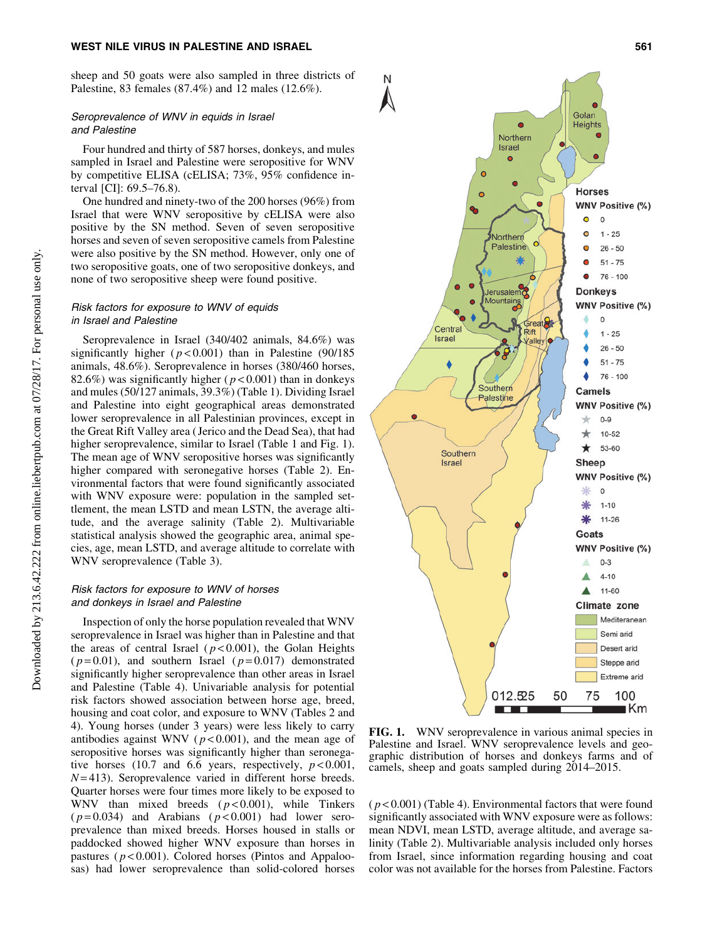sheep and 50 goats were also sampled in three districts of Palestine, 83 females (87.4%) and 12 males (12.6%).

# Seroprevalence of WNV in equids in Israel and Palestine

Four hundred and thirty of 587 horses, donkeys, and mules sampled in Israel and Palestine were seropositive for WNV by competitive ELISA (cELISA; 73%, 95% confidence interval [CI]: 69.5–76.8).

One hundred and ninety-two of the 200 horses (96%) from Israel that were WNV seropositive by cELISA were also positive by the SN method. Seven of seven seropositive horses and seven of seven seropositive camels from Palestine were also positive by the SN method. However, only one of two seropositive goats, one of two seropositive donkeys, and none of two seropositive sheep were found positive.

# Risk factors for exposure to WNV of equids in Israel and Palestine

Seroprevalence in Israel (340/402 animals, 84.6%) was significantly higher  $(p < 0.001)$  than in Palestine (90/185) animals, 48.6%). Seroprevalence in horses (380/460 horses, 82.6%) was significantly higher ( $p < 0.001$ ) than in donkeys and mules (50/127 animals, 39.3%) (Table 1). Dividing Israel and Palestine into eight geographical areas demonstrated lower seroprevalence in all Palestinian provinces, except in the Great Rift Valley area ( Jerico and the Dead Sea), that had higher seroprevalence, similar to Israel (Table 1 and Fig. 1). The mean age of WNV seropositive horses was significantly higher compared with seronegative horses (Table 2). Environmental factors that were found significantly associated with WNV exposure were: population in the sampled settlement, the mean LSTD and mean LSTN, the average altitude, and the average salinity (Table 2). Multivariable statistical analysis showed the geographic area, animal species, age, mean LSTD, and average altitude to correlate with WNV seroprevalence (Table 3).

# Risk factors for exposure to WNV of horses and donkeys in Israel and Palestine

Inspection of only the horse population revealed that WNV seroprevalence in Israel was higher than in Palestine and that the areas of central Israel ( $p < 0.001$ ), the Golan Heights  $(p=0.01)$ , and southern Israel  $(p=0.017)$  demonstrated significantly higher seroprevalence than other areas in Israel and Palestine (Table 4). Univariable analysis for potential risk factors showed association between horse age, breed, housing and coat color, and exposure to WNV (Tables 2 and 4). Young horses (under 3 years) were less likely to carry antibodies against WNV ( $p < 0.001$ ), and the mean age of seropositive horses was significantly higher than seronegative horses (10.7 and 6.6 years, respectively,  $p < 0.001$ ,  $N = 413$ ). Seroprevalence varied in different horse breeds. Quarter horses were four times more likely to be exposed to WNV than mixed breeds  $(p<0.001)$ , while Tinkers  $(p=0.034)$  and Arabians  $(p<0.001)$  had lower seroprevalence than mixed breeds. Horses housed in stalls or paddocked showed higher WNV exposure than horses in pastures ( $p$ <0.001). Colored horses (Pintos and Appaloosas) had lower seroprevalence than solid-colored horses



FIG. 1. WNV seroprevalence in various animal species in Palestine and Israel. WNV seroprevalence levels and geographic distribution of horses and donkeys farms and of camels, sheep and goats sampled during 2014–2015.

 $(p<0.001)$  (Table 4). Environmental factors that were found significantly associated with WNV exposure were as follows: mean NDVI, mean LSTD, average altitude, and average salinity (Table 2). Multivariable analysis included only horses from Israel, since information regarding housing and coat color was not available for the horses from Palestine. Factors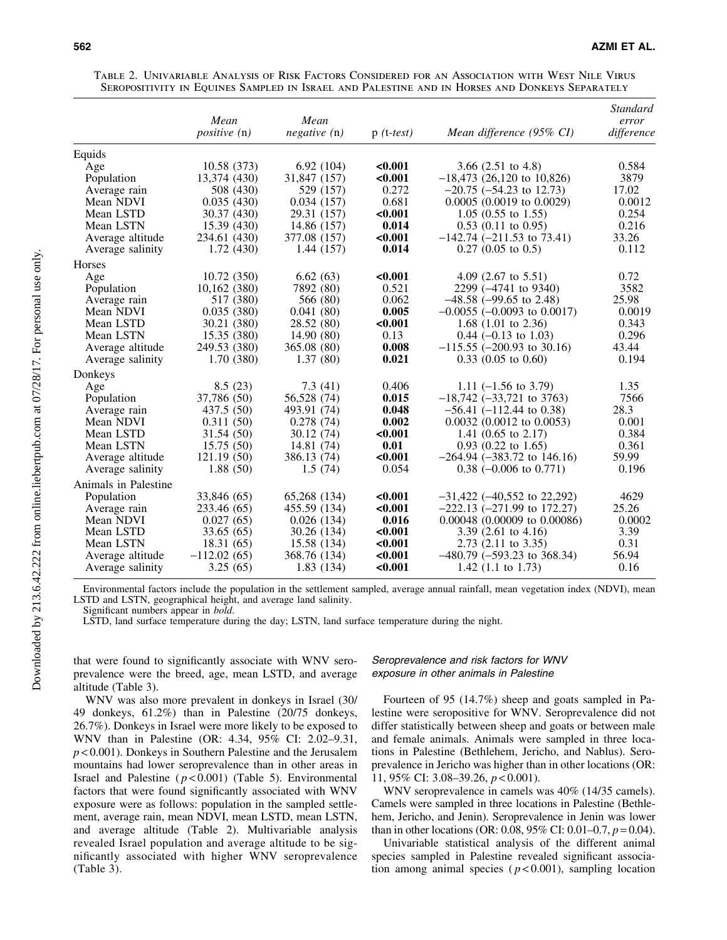|                      | Mean<br><i>positive</i> (n) | Mean<br><i>negative</i> (n) | $p(t-test)$ | Mean difference (95% CI)         | <b>Standard</b><br>error<br>difference |
|----------------------|-----------------------------|-----------------------------|-------------|----------------------------------|----------------------------------------|
| Equids               |                             |                             |             |                                  |                                        |
| Age                  | 10.58 (373)                 | 6.92(104)                   | < 0.001     | 3.66 $(2.51 \text{ to } 4.8)$    | 0.584                                  |
| Population           | 13,374 (430)                | 31,847 (157)                | < 0.001     | $-18,473$ (26,120 to 10,826)     | 3879                                   |
| Average rain         | 508 (430)                   | 529 (157)                   | 0.272       | $-20.75$ ( $-54.23$ to 12.73)    | 17.02                                  |
| Mean NDVI            | 0.035(430)                  | 0.034(157)                  | 0.681       | $0.0005$ (0.0019 to 0.0029)      | 0.0012                                 |
| Mean LSTD            | 30.37 (430)                 | 29.31 (157)                 | < 0.001     | $1.05$ (0.55 to 1.55)            | 0.254                                  |
| Mean LSTN            | 15.39 (430)                 | 14.86 (157)                 | 0.014       | $0.53$ (0.11 to 0.95)            | 0.216                                  |
| Average altitude     | 234.61 (430)                | 377.08 (157)                | < 0.001     | $-142.74$ ( $-211.53$ to 73.41)  | 33.26                                  |
| Average salinity     | 1.72(430)                   | 1.44(157)                   | 0.014       | $0.27$ (0.05 to 0.5)             | 0.112                                  |
| Horses               |                             |                             |             |                                  |                                        |
| Age                  | 10.72(350)                  | 6.62(63)                    | < 0.001     | 4.09 $(2.67 \text{ to } 5.51)$   | 0.72                                   |
| Population           | 10,162 (380)                | 7892 (80)                   | 0.521       | $2299$ ( $-4741$ to $9340$ )     | 3582                                   |
| Average rain         | 517 (380)                   | 566 (80)                    | 0.062       | $-48.58$ ( $-99.65$ to 2.48)     | 25.98                                  |
| Mean NDVI            | 0.035(380)                  | 0.041(80)                   | 0.005       | $-0.0055$ ( $-0.0093$ to 0.0017) | 0.0019                                 |
| Mean LSTD            | 30.21 (380)                 | 28.52 (80)                  | < 0.001     | 1.68 $(1.01 \text{ to } 2.36)$   | 0.343                                  |
| Mean LSTN            | 15.35 (380)                 | 14.90 (80)                  | 0.13        | $0.44$ (-0.13 to 1.03)           | 0.296                                  |
| Average altitude     | 249.53 (380)                | 365.08 (80)                 | 0.008       | $-115.55$ ( $-200.93$ to 30.16)  | 43.44                                  |
| Average salinity     | 1.70(380)                   | 1.37(80)                    | 0.021       | $0.33$ (0.05 to 0.60)            | 0.194                                  |
| Donkeys              |                             |                             |             |                                  |                                        |
| Age                  | 8.5(23)                     | 7.3(41)                     | 0.406       | 1.11 $(-1.56 \text{ to } 3.79)$  | 1.35                                   |
| Population           | 37,786 (50)                 | 56,528 (74)                 | 0.015       | $-18,742$ ( $-33,721$ to 3763)   | 7566                                   |
| Average rain         | 437.5 (50)                  | 493.91 (74)                 | 0.048       | $-56.41$ ( $-112.44$ to 0.38)    | 28.3                                   |
| Mean NDVI            | 0.311(50)                   | 0.278(74)                   | 0.002       | $0.0032$ (0.0012 to 0.0053)      | 0.001                                  |
| Mean LSTD            | 31.54(50)                   | 30.12 (74)                  | < 0.001     | 1.41 $(0.65 \text{ to } 2.17)$   | 0.384                                  |
| Mean LSTN            | 15.75(50)                   | 14.81 (74)                  | 0.01        | $0.93$ $(0.22$ to $1.65)$        | 0.361                                  |
| Average altitude     | 121.19(50)                  | 386.13 (74)                 | < 0.001     | $-264.94$ ( $-383.72$ to 146.16) | 59.99                                  |
| Average salinity     | 1.88(50)                    | 1.5(74)                     | 0.054       | $0.38$ (-0.006 to 0.771)         | 0.196                                  |
| Animals in Palestine |                             |                             |             |                                  |                                        |
| Population           | 33,846 (65)                 | 65,268 (134)                | < 0.001     | $-31,422$ ( $-40,552$ to 22,292) | 4629                                   |
| Average rain         | 233.46 (65)                 | 455.59 (134)                | < 0.001     | $-222.13$ $(-271.99$ to 172.27)  | 25.26                                  |
| Mean NDVI            | 0.027(65)                   | 0.026(134)                  | 0.016       | 0.00048 (0.00009 to 0.00086)     | 0.0002                                 |
| Mean LSTD            | 33.65(65)                   | 30.26 (134)                 | < 0.001     | 3.39 $(2.61 \text{ to } 4.16)$   | 3.39                                   |
| Mean LSTN            | 18.31(65)                   | 15.58 (134)                 | < 0.001     | 2.73 (2.11 to 3.35)              | 0.31                                   |
| Average altitude     | $-112.02(65)$               | 368.76 (134)                | < 0.001     | $-480.79$ ( $-593.23$ to 368.34) | 56.94                                  |
| Average salinity     | 3.25(65)                    | 1.83(134)                   | < 0.001     | 1.42 $(1.1 \text{ to } 1.73)$    | 0.16                                   |

Table 2. Univariable Analysis of Risk Factors Considered for an Association with West Nile Virus Seropositivity in Equines Sampled in Israel and Palestine and in Horses and Donkeys Separately

Environmental factors include the population in the settlement sampled, average annual rainfall, mean vegetation index (NDVI), mean LSTD and LSTN, geographical height, and average land salinity.

Significant numbers appear in *bold*.

LSTD, land surface temperature during the day; LSTN, land surface temperature during the night.

that were found to significantly associate with WNV seroprevalence were the breed, age, mean LSTD, and average altitude (Table 3).

WNV was also more prevalent in donkeys in Israel (30/ 49 donkeys, 61.2%) than in Palestine (20/75 donkeys, 26.7%). Donkeys in Israel were more likely to be exposed to WNV than in Palestine (OR: 4.34, 95% CI: 2.02–9.31, *p* < 0.001). Donkeys in Southern Palestine and the Jerusalem mountains had lower seroprevalence than in other areas in Israel and Palestine ( *p* < 0.001) (Table 5). Environmental factors that were found significantly associated with WNV exposure were as follows: population in the sampled settlement, average rain, mean NDVI, mean LSTD, mean LSTN, and average altitude (Table 2). Multivariable analysis revealed Israel population and average altitude to be significantly associated with higher WNV seroprevalence (Table 3).

## Seroprevalence and risk factors for WNV exposure in other animals in Palestine

Fourteen of 95 (14.7%) sheep and goats sampled in Palestine were seropositive for WNV. Seroprevalence did not differ statistically between sheep and goats or between male and female animals. Animals were sampled in three locations in Palestine (Bethlehem, Jericho, and Nablus). Seroprevalence in Jericho was higher than in other locations (OR: 11, 95% CI: 3.08–39.26, *p* < 0.001).

WNV seroprevalence in camels was 40% (14/35 camels). Camels were sampled in three locations in Palestine (Bethlehem, Jericho, and Jenin). Seroprevalence in Jenin was lower than in other locations (OR: 0.08, 95% CI: 0.01–0.7, *p* = 0.04).

Univariable statistical analysis of the different animal species sampled in Palestine revealed significant association among animal species  $(p < 0.001)$ , sampling location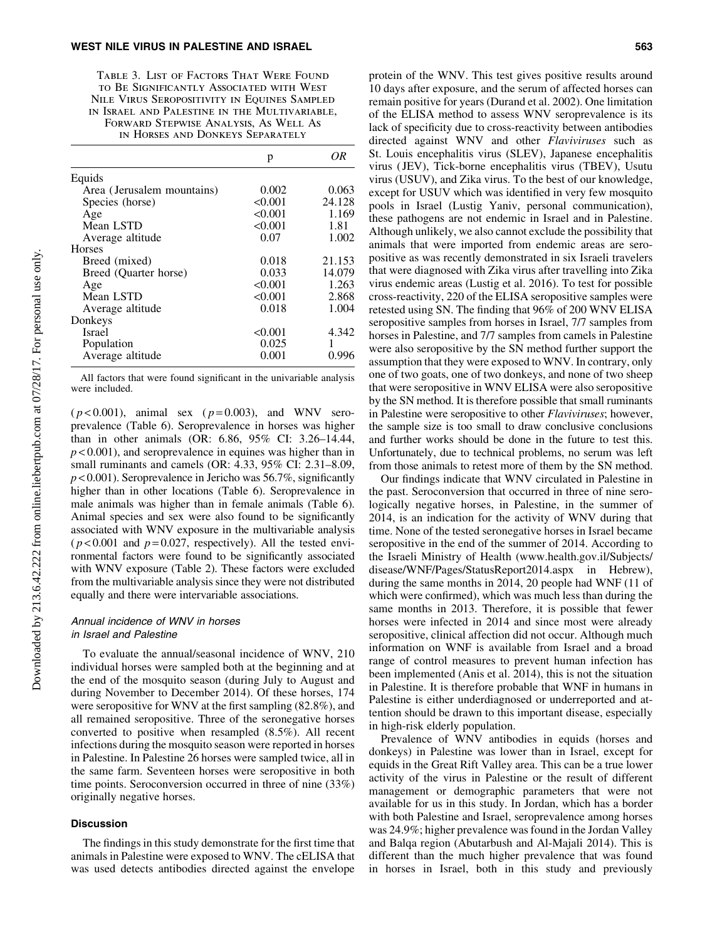Table 3. List of Factors That Were Found to Be Significantly Associated with West Nile Virus Seropositivity in Equines Sampled in Israel and Palestine in the Multivariable, Forward Stepwise Analysis, As Well As in Horses and Donkeys Separately

|                            | p       | ΩR     |
|----------------------------|---------|--------|
| Equids                     |         |        |
| Area (Jerusalem mountains) | 0.002   | 0.063  |
| Species (horse)            | < 0.001 | 24.128 |
| Age                        | < 0.001 | 1.169  |
| Mean LSTD                  | < 0.001 | 1.81   |
| Average altitude           | 0.07    | 1.002  |
| <b>Horses</b>              |         |        |
| Breed (mixed)              | 0.018   | 21.153 |
| Breed (Ouarter horse)      | 0.033   | 14.079 |
| Age                        | < 0.001 | 1.263  |
| Mean LSTD                  | < 0.001 | 2.868  |
| Average altitude           | 0.018   | 1.004  |
| Donkeys                    |         |        |
| <b>Israel</b>              | < 0.001 | 4.342  |
| Population                 | 0.025   |        |
| Average altitude           | 0.001   | 0.996  |

All factors that were found significant in the univariable analysis were included.

 $(p<0.001)$ , animal sex  $(p=0.003)$ , and WNV seroprevalence (Table 6). Seroprevalence in horses was higher than in other animals (OR: 6.86, 95% CI: 3.26–14.44,  $p < 0.001$ ), and seroprevalence in equines was higher than in small ruminants and camels (OR: 4.33, 95% CI: 2.31–8.09,  $p < 0.001$ ). Seroprevalence in Jericho was 56.7%, significantly higher than in other locations (Table 6). Seroprevalence in male animals was higher than in female animals (Table 6). Animal species and sex were also found to be significantly associated with WNV exposure in the multivariable analysis  $(p<0.001$  and  $p=0.027$ , respectively). All the tested environmental factors were found to be significantly associated with WNV exposure (Table 2). These factors were excluded from the multivariable analysis since they were not distributed equally and there were intervariable associations.

# Annual incidence of WNV in horses in Israel and Palestine

To evaluate the annual/seasonal incidence of WNV, 210 individual horses were sampled both at the beginning and at the end of the mosquito season (during July to August and during November to December 2014). Of these horses, 174 were seropositive for WNV at the first sampling (82.8%), and all remained seropositive. Three of the seronegative horses converted to positive when resampled (8.5%). All recent infections during the mosquito season were reported in horses in Palestine. In Palestine 26 horses were sampled twice, all in the same farm. Seventeen horses were seropositive in both time points. Seroconversion occurred in three of nine (33%) originally negative horses.

## Discussion

The findings in this study demonstrate for the first time that animals in Palestine were exposed to WNV. The cELISA that was used detects antibodies directed against the envelope

protein of the WNV. This test gives positive results around 10 days after exposure, and the serum of affected horses can remain positive for years (Durand et al. 2002). One limitation of the ELISA method to assess WNV seroprevalence is its lack of specificity due to cross-reactivity between antibodies directed against WNV and other *Flaviviruses* such as St. Louis encephalitis virus (SLEV), Japanese encephalitis virus ( JEV), Tick-borne encephalitis virus (TBEV), Usutu virus (USUV), and Zika virus. To the best of our knowledge, except for USUV which was identified in very few mosquito pools in Israel (Lustig Yaniv, personal communication), these pathogens are not endemic in Israel and in Palestine. Although unlikely, we also cannot exclude the possibility that animals that were imported from endemic areas are seropositive as was recently demonstrated in six Israeli travelers that were diagnosed with Zika virus after travelling into Zika virus endemic areas (Lustig et al. 2016). To test for possible cross-reactivity, 220 of the ELISA seropositive samples were retested using SN. The finding that 96% of 200 WNV ELISA seropositive samples from horses in Israel, 7/7 samples from horses in Palestine, and 7/7 samples from camels in Palestine were also seropositive by the SN method further support the assumption that they were exposed to WNV. In contrary, only one of two goats, one of two donkeys, and none of two sheep that were seropositive in WNV ELISA were also seropositive by the SN method. It is therefore possible that small ruminants in Palestine were seropositive to other *Flaviviruses*; however, the sample size is too small to draw conclusive conclusions and further works should be done in the future to test this. Unfortunately, due to technical problems, no serum was left from those animals to retest more of them by the SN method.

Our findings indicate that WNV circulated in Palestine in the past. Seroconversion that occurred in three of nine serologically negative horses, in Palestine, in the summer of 2014, is an indication for the activity of WNV during that time. None of the tested seronegative horses in Israel became seropositive in the end of the summer of 2014. According to the Israeli Ministry of Health (www.health.gov.il/Subjects/ disease/WNF/Pages/StatusReport2014.aspx in Hebrew), during the same months in 2014, 20 people had WNF (11 of which were confirmed), which was much less than during the same months in 2013. Therefore, it is possible that fewer horses were infected in 2014 and since most were already seropositive, clinical affection did not occur. Although much information on WNF is available from Israel and a broad range of control measures to prevent human infection has been implemented (Anis et al. 2014), this is not the situation in Palestine. It is therefore probable that WNF in humans in Palestine is either underdiagnosed or underreported and attention should be drawn to this important disease, especially in high-risk elderly population.

Prevalence of WNV antibodies in equids (horses and donkeys) in Palestine was lower than in Israel, except for equids in the Great Rift Valley area. This can be a true lower activity of the virus in Palestine or the result of different management or demographic parameters that were not available for us in this study. In Jordan, which has a border with both Palestine and Israel, seroprevalence among horses was 24.9%; higher prevalence was found in the Jordan Valley and Balqa region (Abutarbush and Al-Majali 2014). This is different than the much higher prevalence that was found in horses in Israel, both in this study and previously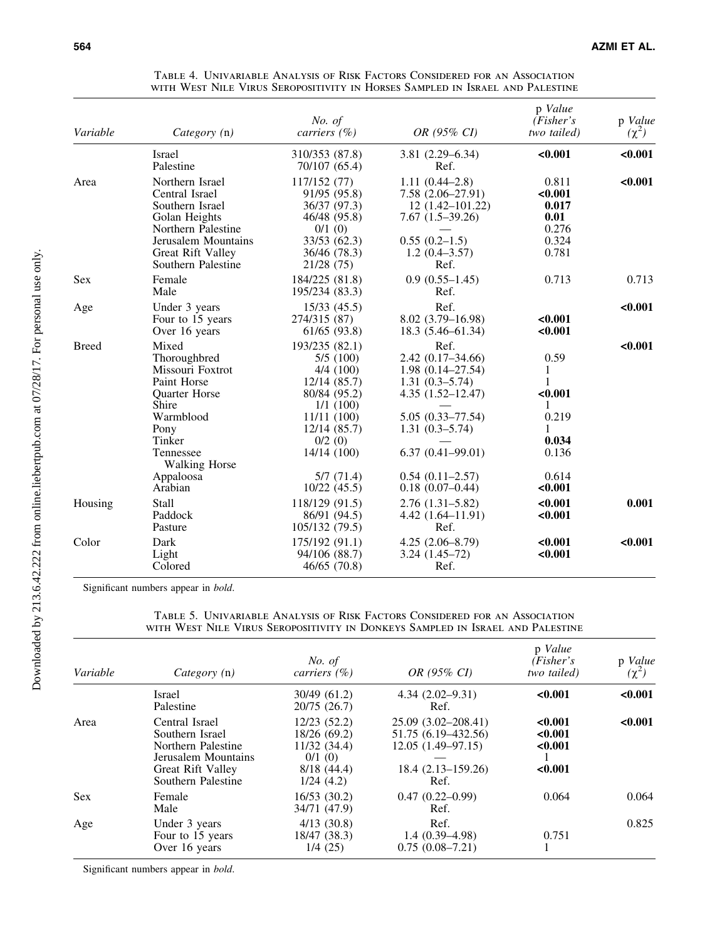| Variable     | Category (n)                                                                                                                                                                          | No. of<br>carriers $(\% )$                                                                                                                                              | OR (95% CI)                                                                                                                                                                                                      | p Value<br>(Fisher's<br>two tailed)                                                | p Value<br>$(\chi^2)$ |
|--------------|---------------------------------------------------------------------------------------------------------------------------------------------------------------------------------------|-------------------------------------------------------------------------------------------------------------------------------------------------------------------------|------------------------------------------------------------------------------------------------------------------------------------------------------------------------------------------------------------------|------------------------------------------------------------------------------------|-----------------------|
|              | Israel<br>Palestine                                                                                                                                                                   | 310/353 (87.8)<br>70/107 (65.4)                                                                                                                                         | $3.81(2.29 - 6.34)$<br>Ref.                                                                                                                                                                                      | < 0.001                                                                            | < 0.001               |
| Area         | Northern Israel<br>Central Israel<br>Southern Israel<br>Golan Heights<br>Northern Palestine<br>Jerusalem Mountains<br>Great Rift Valley<br>Southern Palestine                         | 117/152 (77)<br>91/95 (95.8)<br>36/37 (97.3)<br>46/48 (95.8)<br>$0/1$ (0)<br>33/53 (62.3)<br>36/46 (78.3)<br>21/28 (75)                                                 | $1.11(0.44 - 2.8)$<br>7.58 (2.06–27.91)<br>$12(1.42 - 101.22)$<br>$7.67(1.5-39.26)$<br>$0.55(0.2-1.5)$<br>$1.2(0.4 - 3.57)$<br>Ref.                                                                              | 0.811<br>< 0.001<br>0.017<br>0.01<br>0.276<br>0.324<br>0.781                       | < 0.001               |
| <b>Sex</b>   | Female<br>Male                                                                                                                                                                        | 184/225 (81.8)<br>195/234 (83.3)                                                                                                                                        | $0.9(0.55-1.45)$<br>Ref.                                                                                                                                                                                         | 0.713                                                                              | 0.713                 |
| Age          | Under 3 years<br>Four to 15 years<br>Over 16 years                                                                                                                                    | 15/33(45.5)<br>274/315 (87)<br>61/65 (93.8)                                                                                                                             | Ref.<br>8.02 (3.79-16.98)<br>18.3 (5.46–61.34)                                                                                                                                                                   | < 0.001<br>< 0.001                                                                 | < 0.001               |
| <b>Breed</b> | Mixed<br>Thoroughbred<br>Missouri Foxtrot<br>Paint Horse<br><b>Ouarter Horse</b><br>Shire<br>Warmblood<br>Pony<br>Tinker<br>Tennessee<br><b>Walking Horse</b><br>Appaloosa<br>Arabian | 193/235 (82.1)<br>5/5(100)<br>4/4(100)<br>12/14(85.7)<br>80/84 (95.2)<br>1/1(100)<br>11/11 (100)<br>12/14(85.7)<br>0/2(0)<br>14/14 (100)<br>$5/7$ (71.4)<br>10/22(45.5) | Ref.<br>$2.42(0.17-34.66)$<br>$1.98(0.14 - 27.54)$<br>$1.31(0.3 - 5.74)$<br>$4.35(1.52 - 12.47)$<br>$5.05(0.33 - 77.54)$<br>$1.31(0.3 - 5.74)$<br>$6.37(0.41 - 99.01)$<br>$0.54(0.11-2.57)$<br>$0.18(0.07-0.44)$ | 0.59<br>1<br>1<br>$0.001$<br>1<br>0.219<br>1<br>0.034<br>0.136<br>0.614<br>< 0.001 | < 0.001               |
| Housing      | Stall<br>Paddock<br>Pasture                                                                                                                                                           | 118/129 (91.5)<br>86/91 (94.5)<br>105/132 (79.5)                                                                                                                        | $2.76(1.31 - 5.82)$<br>$4.42(1.64 - 11.91)$<br>Ref.                                                                                                                                                              | < 0.001<br>< 0.001                                                                 | 0.001                 |
| Color        | Dark<br>Light<br>Colored                                                                                                                                                              | 175/192 (91.1)<br>94/106 (88.7)<br>46/65 (70.8)                                                                                                                         | $4.25(2.06 - 8.79)$<br>$3.24(1.45-72)$<br>Ref.                                                                                                                                                                   | < 0.001<br>< 0.001                                                                 | < 0.001               |

Table 4. Univariable Analysis of Risk Factors Considered for an Association with West Nile Virus Seropositivity in Horses Sampled in Israel and Palestine

Significant numbers appear in *bold*.

Table 5. Univariable Analysis of Risk Factors Considered for an Association with West Nile Virus Seropositivity in Donkeys Sampled in Israel and Palestine

| Variable   | Category (n)                                                                                                              | No. of<br>carriers $(\% )$                                                           | OR (95% CI)                                                                                        | p Value<br>(Fisher's<br>two tailed)      | p Value<br>$(\chi^2)$ |
|------------|---------------------------------------------------------------------------------------------------------------------------|--------------------------------------------------------------------------------------|----------------------------------------------------------------------------------------------------|------------------------------------------|-----------------------|
|            | Israel<br>Palestine                                                                                                       | 30/49 (61.2)<br>20/75 (26.7)                                                         | $4.34(2.02 - 9.31)$<br>Ref.                                                                        | < 0.001                                  | < 0.001               |
| Area       | Central Israel<br>Southern Israel<br>Northern Palestine<br>Jerusalem Mountains<br>Great Rift Valley<br>Southern Palestine | 12/23 (52.2)<br>18/26 (69.2)<br>11/32 (34.4)<br>$0/1$ (0)<br>8/18(44.4)<br>1/24(4.2) | 25.09 (3.02–208.41)<br>51.75 (6.19–432.56)<br>$12.05(1.49-97.15)$<br>$18.4(2.13 - 159.26)$<br>Ref. | < 0.001<br>< 0.001<br>< 0.001<br>< 0.001 | < 0.001               |
| <b>Sex</b> | Female<br>Male                                                                                                            | 16/53 (30.2)<br>34/71 (47.9)                                                         | $0.47(0.22 - 0.99)$<br>Ref.                                                                        | 0.064                                    | 0.064                 |
| Age        | Under 3 years<br>Four to 15 years<br>Over 16 years                                                                        | $4/13$ (30.8)<br>18/47 (38.3)<br>1/4(25)                                             | Ref.<br>$1.4(0.39-4.98)$<br>$0.75(0.08 - 7.21)$                                                    | 0.751                                    | 0.825                 |

Significant numbers appear in *bold*.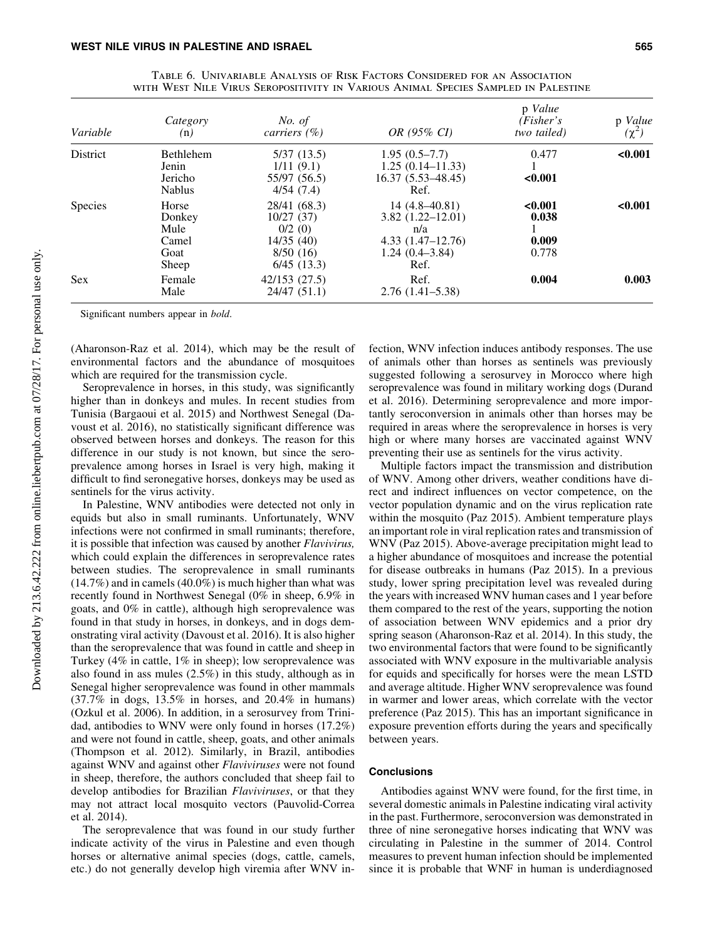| Variable        | Category<br>(n)                                       | <i>No.</i> of<br>carriers $(\% )$                                          | OR (95% CI)                                                                                        | p Value<br>(Fisher's<br>two tailed) | p Value<br>$(\chi^2)$ |
|-----------------|-------------------------------------------------------|----------------------------------------------------------------------------|----------------------------------------------------------------------------------------------------|-------------------------------------|-----------------------|
| <b>District</b> | <b>Bethlehem</b><br>Jenin<br>Jericho<br><b>Nablus</b> | 5/37(13.5)<br>1/11(9.1)<br>55/97 (56.5)<br>4/54(7.4)                       | $1.95(0.5-7.7)$<br>$1.25(0.14 - 11.33)$<br>$16.37(5.53 - 48.45)$<br>Ref.                           | 0.477<br>< 0.001                    | < 0.001               |
| <b>Species</b>  | Horse<br>Donkey<br>Mule<br>Camel<br>Goat<br>Sheep     | 28/41 (68.3)<br>10/27(37)<br>0/2(0)<br>14/35(40)<br>8/50(16)<br>6/45(13.3) | $14(4.8-40.81)$<br>$3.82(1.22 - 12.01)$<br>n/a<br>$4.33(1.47-12.76)$<br>$1.24(0.4 - 3.84)$<br>Ref. | < 0.001<br>0.038<br>0.009<br>0.778  | < 0.001               |
| <b>Sex</b>      | Female<br>Male                                        | 42/153 (27.5)<br>24/47(51.1)                                               | Ref.<br>$2.76(1.41-5.38)$                                                                          | 0.004                               | 0.003                 |

Table 6. Univariable Analysis of Risk Factors Considered for an Association with West Nile Virus Seropositivity in Various Animal Species Sampled in Palestine

Significant numbers appear in *bold*.

(Aharonson-Raz et al. 2014), which may be the result of environmental factors and the abundance of mosquitoes which are required for the transmission cycle.

Seroprevalence in horses, in this study, was significantly higher than in donkeys and mules. In recent studies from Tunisia (Bargaoui et al. 2015) and Northwest Senegal (Davoust et al. 2016), no statistically significant difference was observed between horses and donkeys. The reason for this difference in our study is not known, but since the seroprevalence among horses in Israel is very high, making it difficult to find seronegative horses, donkeys may be used as sentinels for the virus activity.

In Palestine, WNV antibodies were detected not only in equids but also in small ruminants. Unfortunately, WNV infections were not confirmed in small ruminants; therefore, it is possible that infection was caused by another *Flavivirus,* which could explain the differences in seroprevalence rates between studies. The seroprevalence in small ruminants (14.7%) and in camels (40.0%) is much higher than what was recently found in Northwest Senegal (0% in sheep, 6.9% in goats, and 0% in cattle), although high seroprevalence was found in that study in horses, in donkeys, and in dogs demonstrating viral activity (Davoust et al. 2016). It is also higher than the seroprevalence that was found in cattle and sheep in Turkey (4% in cattle, 1% in sheep); low seroprevalence was also found in ass mules (2.5%) in this study, although as in Senegal higher seroprevalence was found in other mammals (37.7% in dogs, 13.5% in horses, and 20.4% in humans) (Ozkul et al. 2006). In addition, in a serosurvey from Trinidad, antibodies to WNV were only found in horses (17.2%) and were not found in cattle, sheep, goats, and other animals (Thompson et al. 2012). Similarly, in Brazil, antibodies against WNV and against other *Flaviviruses* were not found in sheep, therefore, the authors concluded that sheep fail to develop antibodies for Brazilian *Flaviviruses*, or that they may not attract local mosquito vectors (Pauvolid-Correa et al. 2014).

The seroprevalence that was found in our study further indicate activity of the virus in Palestine and even though horses or alternative animal species (dogs, cattle, camels, etc.) do not generally develop high viremia after WNV infection, WNV infection induces antibody responses. The use of animals other than horses as sentinels was previously suggested following a serosurvey in Morocco where high seroprevalence was found in military working dogs (Durand et al. 2016). Determining seroprevalence and more importantly seroconversion in animals other than horses may be required in areas where the seroprevalence in horses is very high or where many horses are vaccinated against WNV preventing their use as sentinels for the virus activity.

Multiple factors impact the transmission and distribution of WNV. Among other drivers, weather conditions have direct and indirect influences on vector competence, on the vector population dynamic and on the virus replication rate within the mosquito (Paz 2015). Ambient temperature plays an important role in viral replication rates and transmission of WNV (Paz 2015). Above-average precipitation might lead to a higher abundance of mosquitoes and increase the potential for disease outbreaks in humans (Paz 2015). In a previous study, lower spring precipitation level was revealed during the years with increased WNV human cases and 1 year before them compared to the rest of the years, supporting the notion of association between WNV epidemics and a prior dry spring season (Aharonson-Raz et al. 2014). In this study, the two environmental factors that were found to be significantly associated with WNV exposure in the multivariable analysis for equids and specifically for horses were the mean LSTD and average altitude. Higher WNV seroprevalence was found in warmer and lower areas, which correlate with the vector preference (Paz 2015). This has an important significance in exposure prevention efforts during the years and specifically between years.

## **Conclusions**

Antibodies against WNV were found, for the first time, in several domestic animals in Palestine indicating viral activity in the past. Furthermore, seroconversion was demonstrated in three of nine seronegative horses indicating that WNV was circulating in Palestine in the summer of 2014. Control measures to prevent human infection should be implemented since it is probable that WNF in human is underdiagnosed